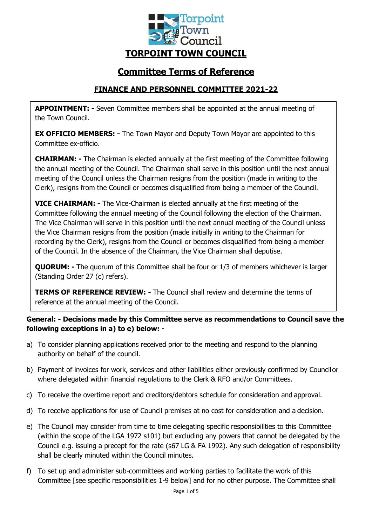

# **Committee Terms of Reference**

# **FINANCE AND PERSONNEL COMMITTEE 2021-22**

**APPOINTMENT: -** Seven Committee members shall be appointed at the annual meeting of the Town Council.

**EX OFFICIO MEMBERS: -** The Town Mayor and Deputy Town Mayor are appointed to this Committee ex-officio.

**CHAIRMAN: -** The Chairman is elected annually at the first meeting of the Committee following the annual meeting of the Council. The Chairman shall serve in this position until the next annual meeting of the Council unless the Chairman resigns from the position (made in writing to the Clerk), resigns from the Council or becomes disqualified from being a member of the Council.

**VICE CHAIRMAN: -** The Vice-Chairman is elected annually at the first meeting of the Committee following the annual meeting of the Council following the election of the Chairman. The Vice Chairman will serve in this position until the next annual meeting of the Council unless the Vice Chairman resigns from the position (made initially in writing to the Chairman for recording by the Clerk), resigns from the Council or becomes disqualified from being a member of the Council. In the absence of the Chairman, the Vice Chairman shall deputise.

**QUORUM:** - The quorum of this Committee shall be four or 1/3 of members whichever is larger (Standing Order 27 (c) refers).

**TERMS OF REFERENCE REVIEW: -** The Council shall review and determine the terms of reference at the annual meeting of the Council.

**General: - Decisions made by this Committee serve as recommendations to Council save the following exceptions in a) to e) below: -**

- a) To consider planning applications received prior to the meeting and respond to the planning authority on behalf of the council.
- b) Payment of invoices for work, services and other liabilities either previously confirmed by Councilor where delegated within financial regulations to the Clerk & RFO and/or Committees.
- c) To receive the overtime report and creditors/debtors schedule for consideration and approval.
- d) To receive applications for use of Council premises at no cost for consideration and a decision.
- e) The Council may consider from time to time delegating specific responsibilities to this Committee (within the scope of the LGA 1972 s101) but excluding any powers that cannot be delegated by the Council e.g. issuing a precept for the rate (s67 LG & FA 1992). Any such delegation of responsibility shall be clearly minuted within the Council minutes.
- f) To set up and administer sub-committees and working parties to facilitate the work of this Committee [see specific responsibilities 1-9 below] and for no other purpose. The Committee shall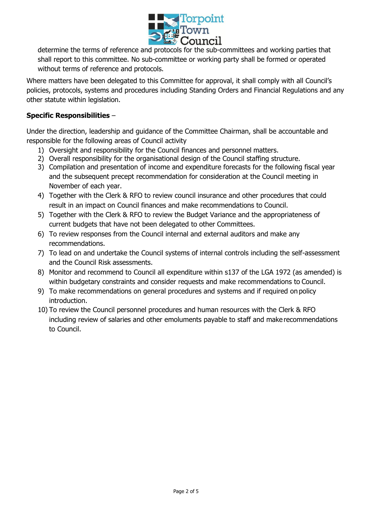

determine the terms of reference and protocols for the sub-committees and working parties that shall report to this committee. No sub-committee or working party shall be formed or operated without terms of reference and protocols.

Where matters have been delegated to this Committee for approval, it shall comply with all Council's policies, protocols, systems and procedures including Standing Orders and Financial Regulations and any other statute within legislation.

# **Specific Responsibilities** –

Under the direction, leadership and guidance of the Committee Chairman, shall be accountable and responsible for the following areas of Council activity

- 1) Oversight and responsibility for the Council finances and personnel matters.
- 2) Overall responsibility for the organisational design of the Council staffing structure.
- 3) Compilation and presentation of income and expenditure forecasts for the following fiscal year and the subsequent precept recommendation for consideration at the Council meeting in November of each year.
- 4) Together with the Clerk & RFO to review council insurance and other procedures that could result in an impact on Council finances and make recommendations to Council.
- 5) Together with the Clerk & RFO to review the Budget Variance and the appropriateness of current budgets that have not been delegated to other Committees.
- 6) To review responses from the Council internal and external auditors and make any recommendations.
- 7) To lead on and undertake the Council systems of internal controls including the self-assessment and the Council Risk assessments.
- 8) Monitor and recommend to Council all expenditure within s137 of the LGA 1972 (as amended) is within budgetary constraints and consider requests and make recommendations to Council.
- 9) To make recommendations on general procedures and systems and if required on policy introduction.
- 10) To review the Council personnel procedures and human resources with the Clerk & RFO including review of salaries and other emoluments payable to staff and make recommendations to Council.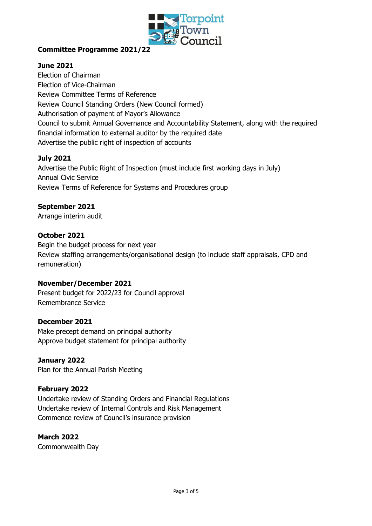

# **Committee Programme 2021/22**

## **June 2021**

Election of Chairman Election of Vice-Chairman Review Committee Terms of Reference Review Council Standing Orders (New Council formed) Authorisation of payment of Mayor's Allowance Council to submit Annual Governance and Accountability Statement, along with the required financial information to external auditor by the required date Advertise the public right of inspection of accounts

## **July 2021**

Advertise the Public Right of Inspection (must include first working days in July) Annual Civic Service Review Terms of Reference for Systems and Procedures group

#### **September 2021**

Arrange interim audit

#### **October 2021**

Begin the budget process for next year Review staffing arrangements/organisational design (to include staff appraisals, CPD and remuneration)

#### **November/December 2021**

Present budget for 2022/23 for Council approval Remembrance Service

#### **December 2021**

Make precept demand on principal authority Approve budget statement for principal authority

#### **January 2022**

Plan for the Annual Parish Meeting

#### **February 2022**

Undertake review of Standing Orders and Financial Regulations Undertake review of Internal Controls and Risk Management Commence review of Council's insurance provision

#### **March 2022**

Commonwealth Day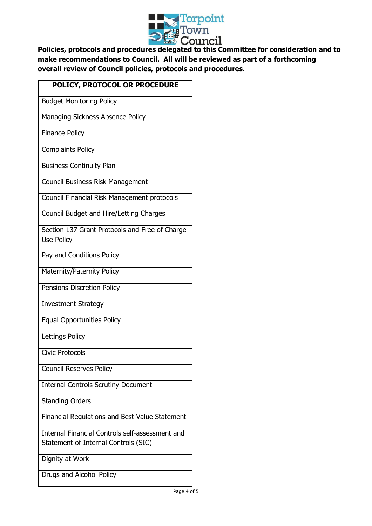

**Policies, protocols and procedures delegated to this Committee for consideration and to make recommendations to Council. All will be reviewed as part of a forthcoming overall review of Council policies, protocols and procedures.**

| POLICY, PROTOCOL OR PROCEDURE                                                           |
|-----------------------------------------------------------------------------------------|
| <b>Budget Monitoring Policy</b>                                                         |
| Managing Sickness Absence Policy                                                        |
| <b>Finance Policy</b>                                                                   |
| <b>Complaints Policy</b>                                                                |
| <b>Business Continuity Plan</b>                                                         |
| Council Business Risk Management                                                        |
| Council Financial Risk Management protocols                                             |
| Council Budget and Hire/Letting Charges                                                 |
| Section 137 Grant Protocols and Free of Charge                                          |
| Use Policy                                                                              |
|                                                                                         |
| Pay and Conditions Policy                                                               |
| Maternity/Paternity Policy                                                              |
| Pensions Discretion Policy                                                              |
| <b>Investment Strategy</b>                                                              |
| <b>Equal Opportunities Policy</b>                                                       |
| Lettings Policy                                                                         |
| <b>Civic Protocols</b>                                                                  |
| <b>Council Reserves Policy</b>                                                          |
| <b>Internal Controls Scrutiny Document</b>                                              |
| <b>Standing Orders</b>                                                                  |
| Financial Regulations and Best Value Statement                                          |
| Internal Financial Controls self-assessment and<br>Statement of Internal Controls (SIC) |

Dignity at Work

Drugs and Alcohol Policy